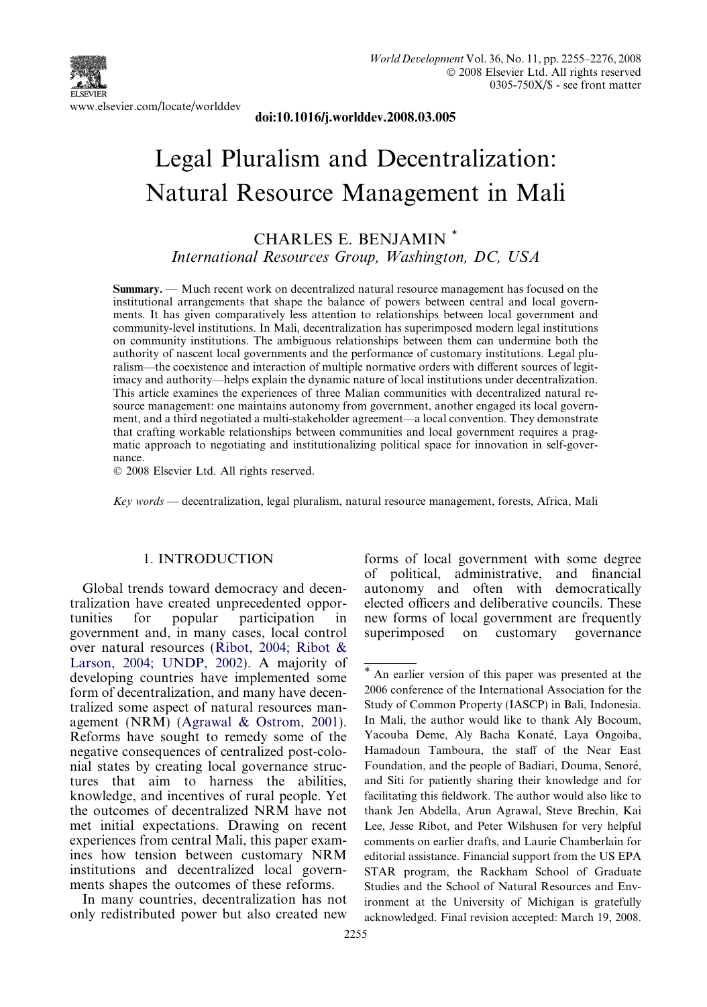www.elsevier.com/locate/worlddev

doi:10.1016/j.worlddev.2008.03.005

## Legal Pluralism and Decentralization: Natural Resource Management in Mali

CHARLES E. BENJAMIN \* International Resources Group, Washington, DC, USA

Summary. — Much recent work on decentralized natural resource management has focused on the institutional arrangements that shape the balance of powers between central and local governments. It has given comparatively less attention to relationships between local government and community-level institutions. In Mali, decentralization has superimposed modern legal institutions on community institutions. The ambiguous relationships between them can undermine both the authority of nascent local governments and the performance of customary institutions. Legal pluralism—the coexistence and interaction of multiple normative orders with different sources of legitimacy and authority—helps explain the dynamic nature of local institutions under decentralization. This article examines the experiences of three Malian communities with decentralized natural resource management: one maintains autonomy from government, another engaged its local government, and a third negotiated a multi-stakeholder agreement—a local convention. They demonstrate that crafting workable relationships between communities and local government requires a pragmatic approach to negotiating and institutionalizing political space for innovation in self-governance.

© 2008 Elsevier Ltd. All rights reserved.

Key words — decentralization, legal pluralism, natural resource management, forests, Africa, Mali

## 1. INTRODUCTION

Global trends toward democracy and decentralization have created unprecedented opportunities for popular participation in tunities for popular participation in government and, in many cases, local control over natural resources ([Ribot, 2004; Ribot &](#page--1-0) [Larson, 2004; UNDP, 2002\)](#page--1-0). A majority of developing countries have implemented some form of decentralization, and many have decentralized some aspect of natural resources management (NRM) [\(Agrawal & Ostrom, 2001\)](#page--1-0). Reforms have sought to remedy some of the negative consequences of centralized post-colonial states by creating local governance structures that aim to harness the abilities, knowledge, and incentives of rural people. Yet the outcomes of decentralized NRM have not met initial expectations. Drawing on recent experiences from central Mali, this paper examines how tension between customary NRM institutions and decentralized local governments shapes the outcomes of these reforms.

In many countries, decentralization has not only redistributed power but also created new

forms of local government with some degree of political, administrative, and financial autonomy and often with democratically elected officers and deliberative councils. These new forms of local government are frequently superimposed on customary governance

<sup>\*</sup> An earlier version of this paper was presented at the 2006 conference of the International Association for the Study of Common Property (IASCP) in Bali, Indonesia. In Mali, the author would like to thank Aly Bocoum, Yacouba Deme, Aly Bacha Konaté, Laya Ongoiba, Hamadoun Tamboura, the staff of the Near East Foundation, and the people of Badiari, Douma, Senoré, and Siti for patiently sharing their knowledge and for facilitating this fieldwork. The author would also like to thank Jen Abdella, Arun Agrawal, Steve Brechin, Kai Lee, Jesse Ribot, and Peter Wilshusen for very helpful comments on earlier drafts, and Laurie Chamberlain for editorial assistance. Financial support from the US EPA STAR program, the Rackham School of Graduate Studies and the School of Natural Resources and Environment at the University of Michigan is gratefully acknowledged. Final revision accepted: March 19, 2008.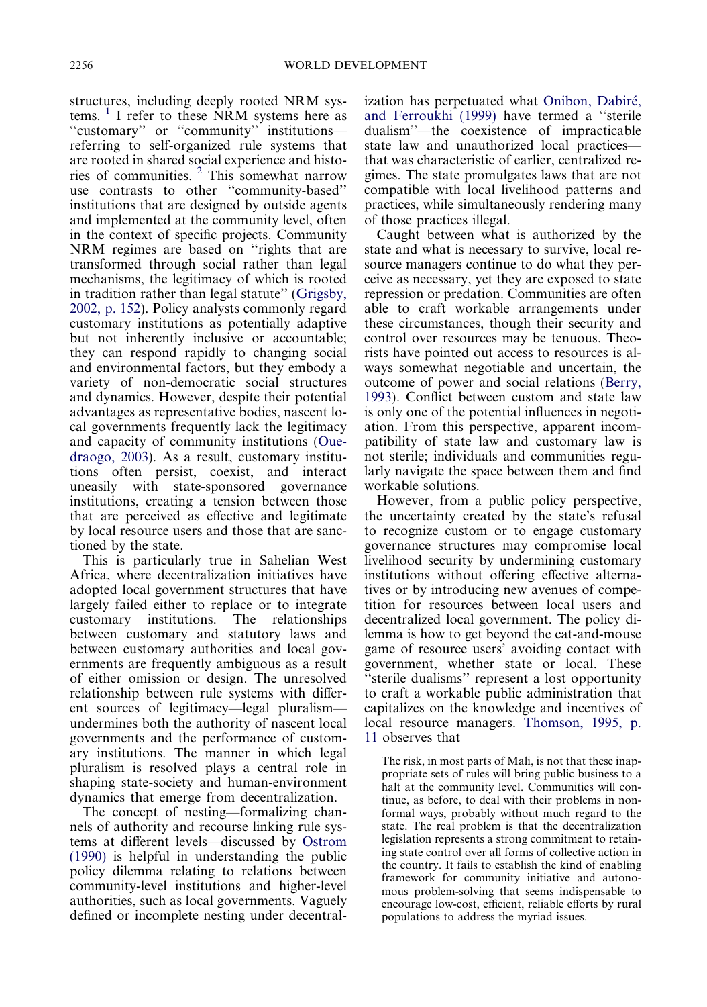structures, including deeply rooted NRM systems.  $\frac{1}{1}$  I refer to these NRM systems here as ''customary'' or ''community'' institutions referring to self-organized rule systems that are rooted in shared social experience and histories of communities. <sup>2</sup> This somewhat narrow use contrasts to other ''community-based'' institutions that are designed by outside agents and implemented at the community level, often in the context of specific projects. Community NRM regimes are based on "rights that are transformed through social rather than legal mechanisms, the legitimacy of which is rooted in tradition rather than legal statute'' ([Grigsby,](#page--1-0) [2002, p. 152\)](#page--1-0). Policy analysts commonly regard customary institutions as potentially adaptive but not inherently inclusive or accountable; they can respond rapidly to changing social and environmental factors, but they embody a variety of non-democratic social structures and dynamics. However, despite their potential advantages as representative bodies, nascent local governments frequently lack the legitimacy and capacity of community institutions ([Oue](#page--1-0)[draogo, 2003](#page--1-0)). As a result, customary institutions often persist, coexist, and interact uneasily with state-sponsored governance institutions, creating a tension between those that are perceived as effective and legitimate by local resource users and those that are sanctioned by the state.

This is particularly true in Sahelian West Africa, where decentralization initiatives have adopted local government structures that have largely failed either to replace or to integrate customary institutions. The relationships between customary and statutory laws and between customary authorities and local governments are frequently ambiguous as a result of either omission or design. The unresolved relationship between rule systems with different sources of legitimacy—legal pluralism undermines both the authority of nascent local governments and the performance of customary institutions. The manner in which legal pluralism is resolved plays a central role in shaping state-society and human-environment dynamics that emerge from decentralization.

The concept of nesting—formalizing channels of authority and recourse linking rule systems at different levels—discussed by [Ostrom](#page--1-0) [\(1990\)](#page--1-0) is helpful in understanding the public policy dilemma relating to relations between community-level institutions and higher-level authorities, such as local governments. Vaguely defined or incomplete nesting under decentral-

ization has perpetuated what Onibon, Dabiré, [and Ferroukhi \(1999\)](#page--1-0) have termed a ''sterile dualism''—the coexistence of impracticable state law and unauthorized local practices that was characteristic of earlier, centralized regimes. The state promulgates laws that are not compatible with local livelihood patterns and practices, while simultaneously rendering many of those practices illegal.

Caught between what is authorized by the state and what is necessary to survive, local resource managers continue to do what they perceive as necessary, yet they are exposed to state repression or predation. Communities are often able to craft workable arrangements under these circumstances, though their security and control over resources may be tenuous. Theorists have pointed out access to resources is always somewhat negotiable and uncertain, the outcome of power and social relations ([Berry,](#page--1-0) [1993](#page--1-0)). Conflict between custom and state law is only one of the potential influences in negotiation. From this perspective, apparent incompatibility of state law and customary law is not sterile; individuals and communities regularly navigate the space between them and find workable solutions.

However, from a public policy perspective, the uncertainty created by the state's refusal to recognize custom or to engage customary governance structures may compromise local livelihood security by undermining customary institutions without offering effective alternatives or by introducing new avenues of competition for resources between local users and decentralized local government. The policy dilemma is how to get beyond the cat-and-mouse game of resource users' avoiding contact with government, whether state or local. These ''sterile dualisms'' represent a lost opportunity to craft a workable public administration that capitalizes on the knowledge and incentives of local resource managers. [Thomson, 1995, p.](#page--1-0) [11](#page--1-0) observes that

The risk, in most parts of Mali, is not that these inappropriate sets of rules will bring public business to a halt at the community level. Communities will continue, as before, to deal with their problems in nonformal ways, probably without much regard to the state. The real problem is that the decentralization legislation represents a strong commitment to retaining state control over all forms of collective action in the country. It fails to establish the kind of enabling framework for community initiative and autonomous problem-solving that seems indispensable to encourage low-cost, efficient, reliable efforts by rural populations to address the myriad issues.